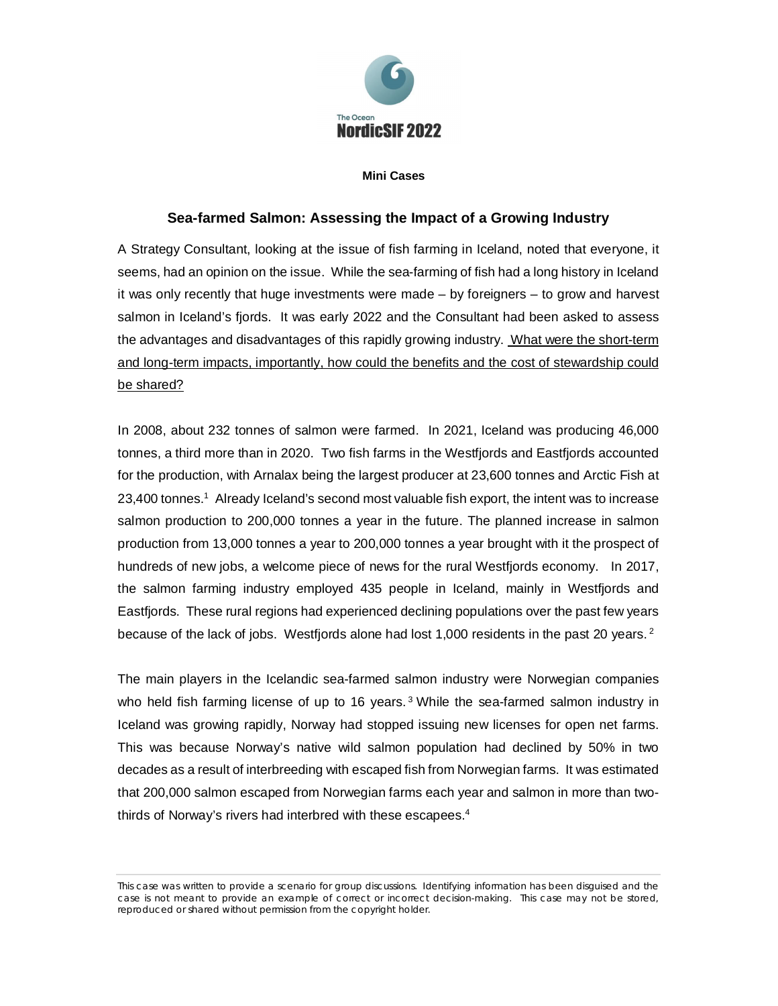

### **Mini Cases**

## **Sea-farmed Salmon: Assessing the Impact of a Growing Industry**

A Strategy Consultant, looking at the issue of fish farming in Iceland, noted that everyone, it seems, had an opinion on the issue. While the sea-farming of fish had a long history in Iceland it was only recently that huge investments were made – by foreigners – to grow and harvest salmon in Iceland's fjords. It was early 2022 and the Consultant had been asked to assess the advantages and disadvantages of this rapidly growing industry. What were the short-term and long-term impacts, importantly, how could the benefits and the cost of stewardship could be shared?

In 2008, about 232 tonnes of salmon were farmed. In 2021, Iceland was producing 46,000 tonnes, a third more than in 2020. Two fish farms in the Westfjords and Eastfjords accounted for the production, with Arnalax being the largest producer at 23,600 tonnes and Arctic Fish at 23,400 tonnes.<sup>1</sup> Already Iceland's second most valuable fish export, the intent was to increase salmon production to 200,000 tonnes a year in the future. The planned increase in salmon production from 13,000 tonnes a year to 200,000 tonnes a year brought with it the prospect of hundreds of new jobs, a welcome piece of news for the rural Westfjords economy. In 2017, the salmon farming industry employed 435 people in Iceland, mainly in Westfjords and Eastfjords. These rural regions had experienced declining populations over the past few years because of the lack of jobs. Westfjords alone had lost 1,000 residents in the past 20 years.<sup>2</sup>

The main players in the Icelandic sea-farmed salmon industry were Norwegian companies who held fish farming license of up to 16 years.<sup>3</sup> While the sea-farmed salmon industry in Iceland was growing rapidly, Norway had stopped issuing new licenses for open net farms. This was because Norway's native wild salmon population had declined by 50% in two decades as a result of interbreeding with escaped fish from Norwegian farms. It was estimated that 200,000 salmon escaped from Norwegian farms each year and salmon in more than twothirds of Norway's rivers had interbred with these escapees.<sup>4</sup>

This case was written to provide a scenario for group discussions. Identifying information has been disguised and the case is not meant to provide an example of correct or incorrect decision-making. This case may not be stored, reproduced or shared without permission from the copyright holder.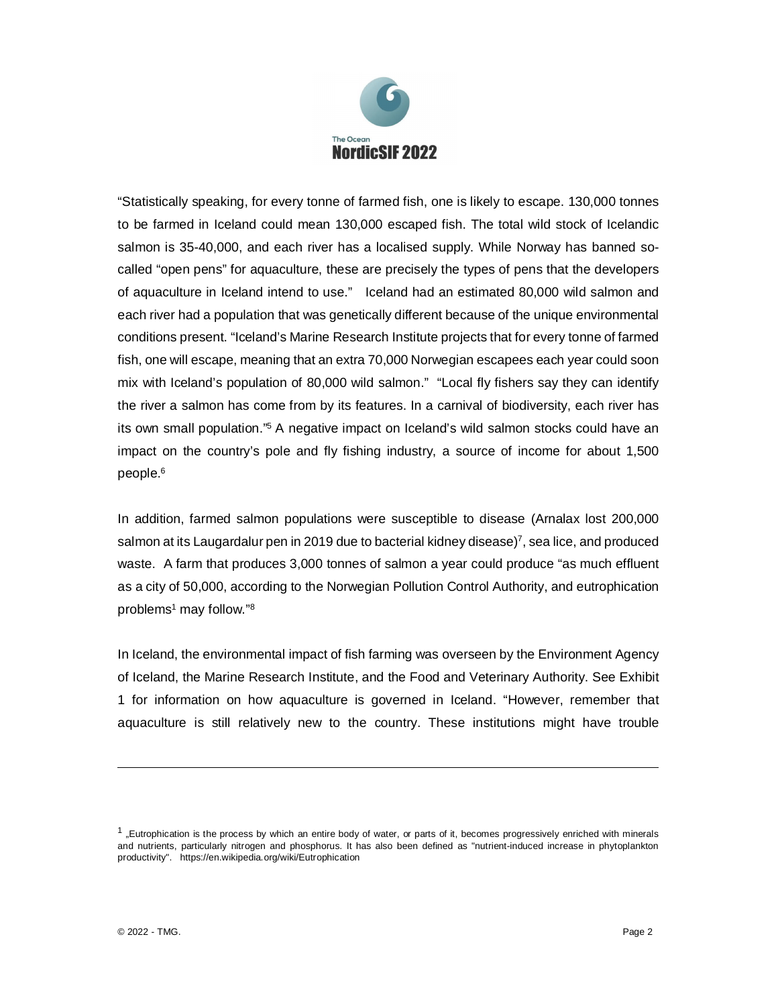

"Statistically speaking, for every tonne of farmed fish, one is likely to escape. 130,000 tonnes to be farmed in Iceland could mean 130,000 escaped fish. The total wild stock of Icelandic salmon is 35-40,000, and each river has a localised supply. While Norway has banned socalled "open pens" for aquaculture, these are precisely the types of pens that the developers of aquaculture in Iceland intend to use." Iceland had an estimated 80,000 wild salmon and each river had a population that was genetically different because of the unique environmental conditions present. "Iceland's Marine Research Institute projects that for every tonne of farmed fish, one will escape, meaning that an extra 70,000 Norwegian escapees each year could soon mix with Iceland's population of 80,000 wild salmon." "Local fly fishers say they can identify the river a salmon has come from by its features. In a carnival of biodiversity, each river has its own small population."<sup>5</sup> A negative impact on Iceland's wild salmon stocks could have an impact on the country's pole and fly fishing industry, a source of income for about 1,500 people.<sup>6</sup>

In addition, farmed salmon populations were susceptible to disease (Arnalax lost 200,000 salmon at its Laugardalur pen in 2019 due to bacterial kidney disease)<sup>7</sup> , sea lice, and produced waste. A farm that produces 3,000 tonnes of salmon a year could produce "as much effluent as a city of 50,000, according to the Norwegian Pollution Control Authority, and eutrophication problems<sup>1</sup> may follow."<sup>8</sup>

In Iceland, the environmental impact of fish farming was overseen by the Environment Agency of Iceland, the Marine Research Institute, and the Food and Veterinary Authority. See Exhibit 1 for information on how aquaculture is governed in Iceland. "However, remember that aquaculture is still relatively new to the country. These institutions might have trouble

<sup>1</sup> "Eutrophication is the process by which an entire body of water, or parts of it, becomes progressively enriched with minerals and nutrients, particularly nitrogen and phosphorus. It has also been defined as "nutrient-induced increase in phytoplankton productivity". https://en.wikipedia.org/wiki/Eutrophication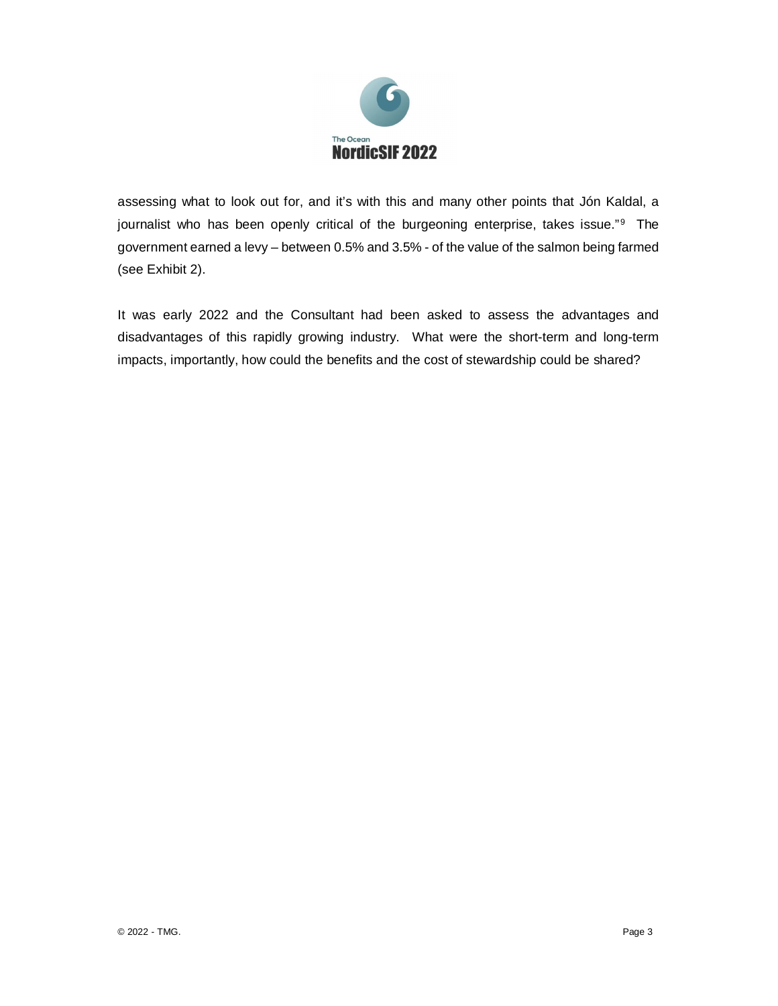

assessing what to look out for, and it's with this and many other points that Jón Kaldal, a journalist who has been openly critical of the burgeoning enterprise, takes issue."<sup>9</sup> The government earned a levy – between 0.5% and 3.5% - of the value of the salmon being farmed (see Exhibit 2).

It was early 2022 and the Consultant had been asked to assess the advantages and disadvantages of this rapidly growing industry. What were the short-term and long-term impacts, importantly, how could the benefits and the cost of stewardship could be shared?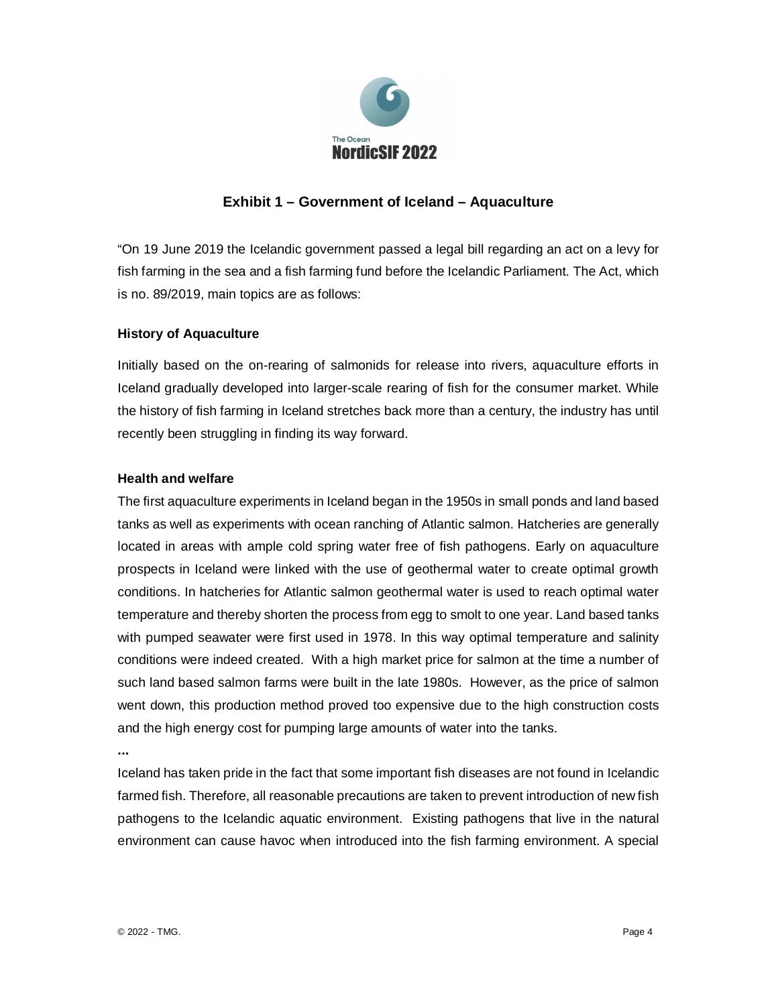

# **Exhibit 1 – Government of Iceland – Aquaculture**

"On 19 June 2019 the Icelandic government passed a legal bill regarding an act on a levy for fish farming in the sea and a fish farming fund before the Icelandic Parliament. The Act, which is no. 89/2019, main topics are as follows:

## **History of Aquaculture**

Initially based on the on-rearing of salmonids for release into rivers, aquaculture efforts in Iceland gradually developed into larger-scale rearing of fish for the consumer market. While the history of fish farming in Iceland stretches back more than a century, the industry has until recently been struggling in finding its way forward.

## **Health and welfare**

The first aquaculture experiments in Iceland began in the 1950s in small ponds and land based tanks as well as experiments with ocean ranching of Atlantic salmon. Hatcheries are generally located in areas with ample cold spring water free of fish pathogens. Early on aquaculture prospects in Iceland were linked with the use of geothermal water to create optimal growth conditions. In hatcheries for Atlantic salmon geothermal water is used to reach optimal water temperature and thereby shorten the process from egg to smolt to one year. Land based tanks with pumped seawater were first used in 1978. In this way optimal temperature and salinity conditions were indeed created. With a high market price for salmon at the time a number of such land based salmon farms were built in the late 1980s. However, as the price of salmon went down, this production method proved too expensive due to the high construction costs and the high energy cost for pumping large amounts of water into the tanks.

**...**

Iceland has taken pride in the fact that some important fish diseases are not found in Icelandic farmed fish. Therefore, all reasonable precautions are taken to prevent introduction of new fish pathogens to the Icelandic aquatic environment. Existing pathogens that live in the natural environment can cause havoc when introduced into the fish farming environment. A special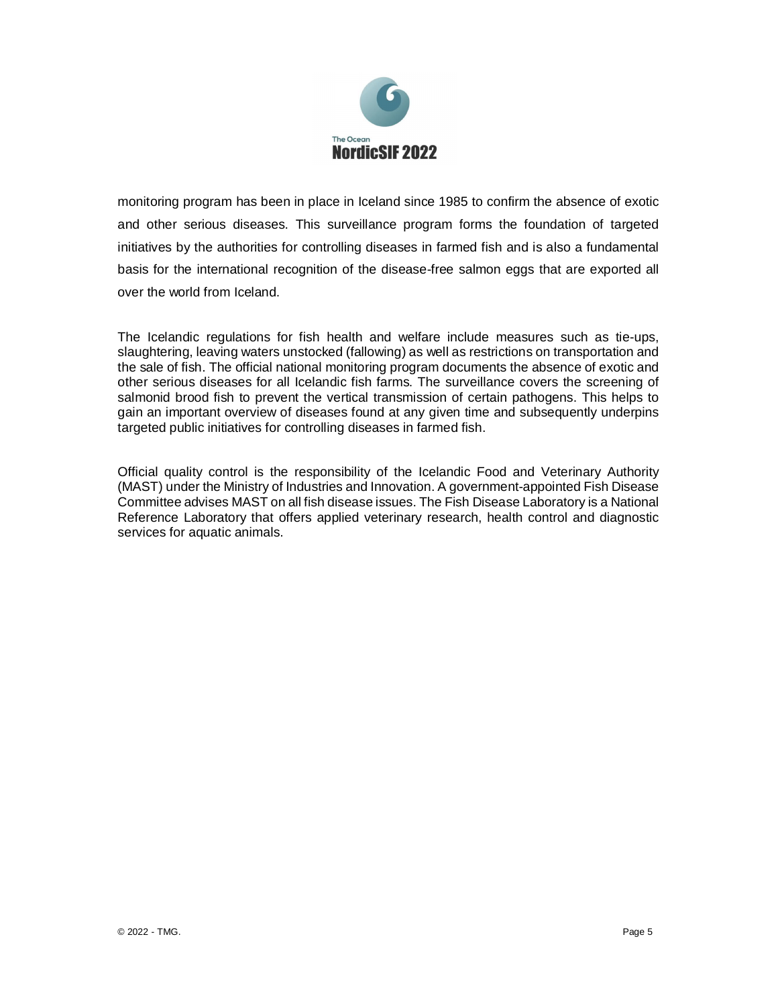

monitoring program has been in place in Iceland since 1985 to confirm the absence of exotic and other serious diseases. This surveillance program forms the foundation of targeted initiatives by the authorities for controlling diseases in farmed fish and is also a fundamental basis for the international recognition of the disease-free salmon eggs that are exported all over the world from Iceland.

The Icelandic regulations for fish health and welfare include measures such as tie-ups, slaughtering, leaving waters unstocked (fallowing) as well as restrictions on transportation and the sale of fish. The official national monitoring program documents the absence of exotic and other serious diseases for all Icelandic fish farms. The surveillance covers the screening of salmonid brood fish to prevent the vertical transmission of certain pathogens. This helps to gain an important overview of diseases found at any given time and subsequently underpins targeted public initiatives for controlling diseases in farmed fish.

Official quality control is the responsibility of the Icelandic Food and Veterinary Authority (MAST) under the Ministry of Industries and Innovation. A government-appointed Fish Disease Committee advises MAST on all fish disease issues. The Fish Disease Laboratory is a National Reference Laboratory that offers applied veterinary research, health control and diagnostic services for aquatic animals.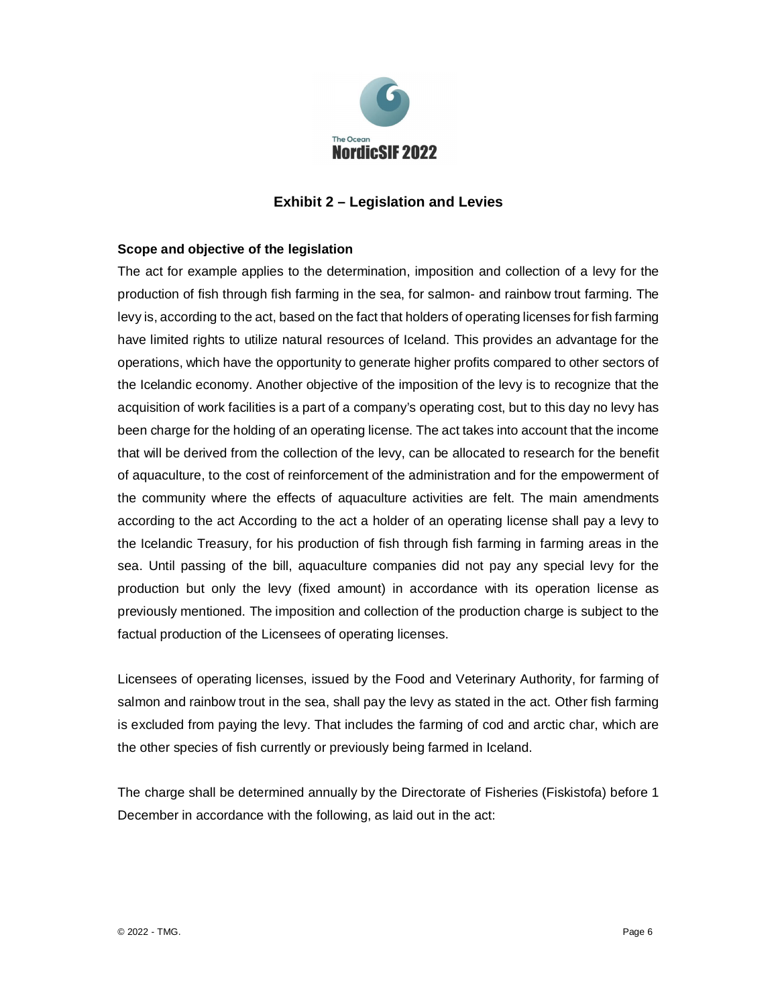

## **Exhibit 2 – Legislation and Levies**

## **Scope and objective of the legislation**

The act for example applies to the determination, imposition and collection of a levy for the production of fish through fish farming in the sea, for salmon- and rainbow trout farming. The levy is, according to the act, based on the fact that holders of operating licenses for fish farming have limited rights to utilize natural resources of Iceland. This provides an advantage for the operations, which have the opportunity to generate higher profits compared to other sectors of the Icelandic economy. Another objective of the imposition of the levy is to recognize that the acquisition of work facilities is a part of a company's operating cost, but to this day no levy has been charge for the holding of an operating license. The act takes into account that the income that will be derived from the collection of the levy, can be allocated to research for the benefit of aquaculture, to the cost of reinforcement of the administration and for the empowerment of the community where the effects of aquaculture activities are felt. The main amendments according to the act According to the act a holder of an operating license shall pay a levy to the Icelandic Treasury, for his production of fish through fish farming in farming areas in the sea. Until passing of the bill, aquaculture companies did not pay any special levy for the production but only the levy (fixed amount) in accordance with its operation license as previously mentioned. The imposition and collection of the production charge is subject to the factual production of the Licensees of operating licenses.

Licensees of operating licenses, issued by the Food and Veterinary Authority, for farming of salmon and rainbow trout in the sea, shall pay the levy as stated in the act. Other fish farming is excluded from paying the levy. That includes the farming of cod and arctic char, which are the other species of fish currently or previously being farmed in Iceland.

The charge shall be determined annually by the Directorate of Fisheries (Fiskistofa) before 1 December in accordance with the following, as laid out in the act: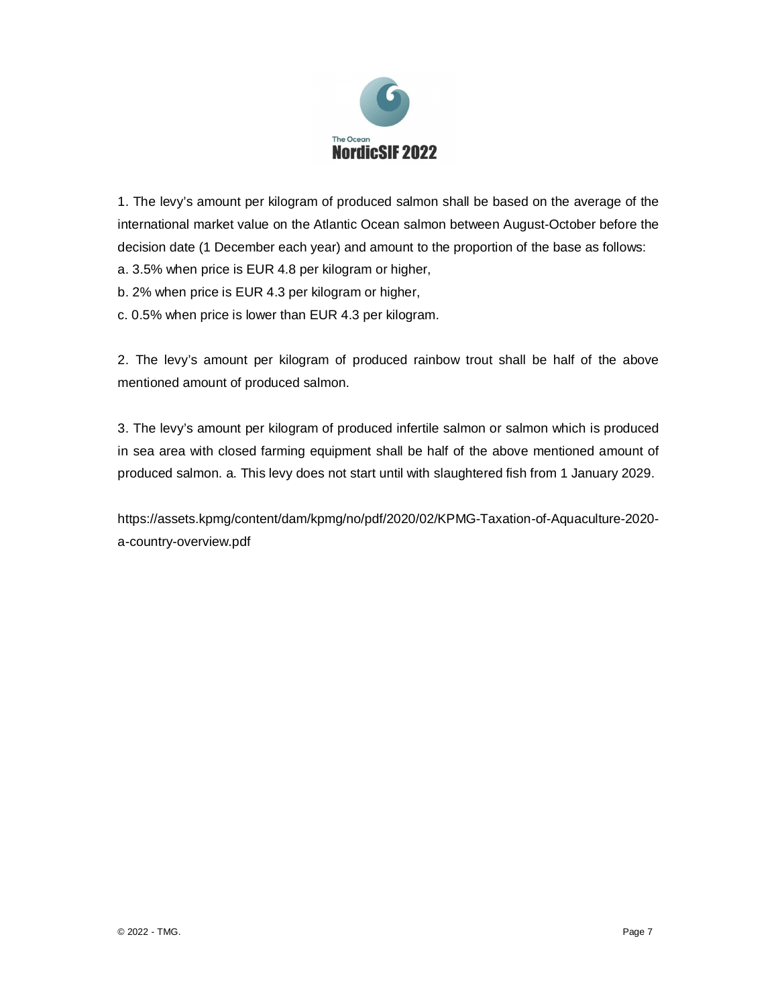

1. The levy's amount per kilogram of produced salmon shall be based on the average of the international market value on the Atlantic Ocean salmon between August-October before the decision date (1 December each year) and amount to the proportion of the base as follows:

- a. 3.5% when price is EUR 4.8 per kilogram or higher,
- b. 2% when price is EUR 4.3 per kilogram or higher,
- c. 0.5% when price is lower than EUR 4.3 per kilogram.

2. The levy's amount per kilogram of produced rainbow trout shall be half of the above mentioned amount of produced salmon.

3. The levy's amount per kilogram of produced infertile salmon or salmon which is produced in sea area with closed farming equipment shall be half of the above mentioned amount of produced salmon. a. This levy does not start until with slaughtered fish from 1 January 2029.

https://assets.kpmg/content/dam/kpmg/no/pdf/2020/02/KPMG-Taxation-of-Aquaculture-2020 a-country-overview.pdf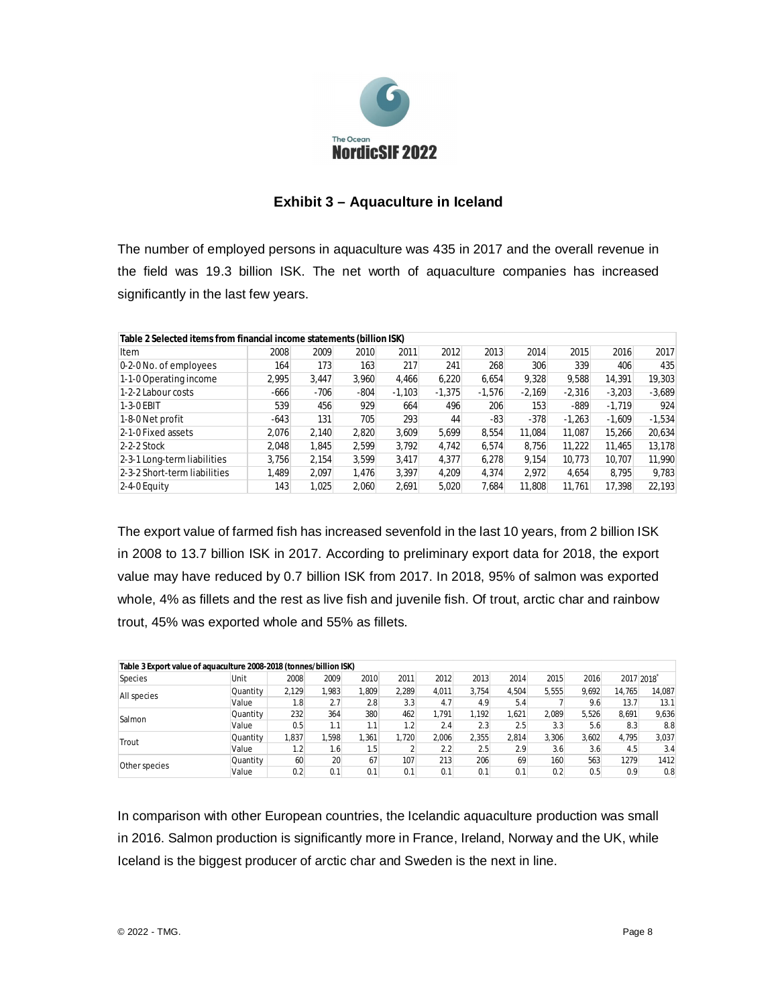

## **Exhibit 3 – Aquaculture in Iceland**

The number of employed persons in aquaculture was 435 in 2017 and the overall revenue in the field was 19.3 billion ISK. The net worth of aquaculture companies has increased significantly in the last few years.

| Table 2 Selected items from financial income statements (billion ISK) |        |        |        |          |          |          |          |          |          |          |  |
|-----------------------------------------------------------------------|--------|--------|--------|----------|----------|----------|----------|----------|----------|----------|--|
| Item                                                                  | 2008   | 2009   | 2010   | 2011     | 2012     | 2013     | 2014     | 2015     | 2016     | 2017     |  |
| 0-2-0 No. of employees                                                | 164    | 173    | 163    | 217      | 241      | 268      | 306      | 339      | 406      | 435      |  |
| 1-1-0 Operating income                                                | 2.995  | 3,447  | 3,960  | 4,466    | 6,220    | 6.654    | 9.328    | 9,588    | 14,391   | 19,303   |  |
| 1-2-2 Labour costs                                                    | $-666$ | $-706$ | $-804$ | $-1,103$ | $-1,375$ | $-1,576$ | $-2,169$ | $-2,316$ | $-3,203$ | $-3,689$ |  |
| 1-3-0 EBIT                                                            | 539    | 456    | 929    | 664      | 496      | 206      | 153      | $-889$   | $-1,719$ | 924      |  |
| 1-8-0 Net profit                                                      | $-643$ | 131    | 705    | 293      | 44       | $-83$    | $-378$   | $-1,263$ | $-1,609$ | $-1,534$ |  |
| 2-1-0 Fixed assets                                                    | 2.076  | 2,140  | 2,820  | 3,609    | 5,699    | 8,554    | 11.084   | 11,087   | 15,266   | 20,634   |  |
| 2-2-2 Stock                                                           | 2.048  | 1.845  | 2,599  | 3,792    | 4,742    | 6,574    | 8.756    | 11,222   | 11,465   | 13,178   |  |
| 2-3-1 Long-term liabilities                                           | 3.756  | 2,154  | 3,599  | 3,417    | 4,377    | 6,278    | 9.154    | 10,773   | 10.707   | 11,990   |  |
| 2-3-2 Short-term liabilities                                          | 1.489  | 2.097  | 1.476  | 3.397    | 4.209    | 4.374    | 2.972    | 4.654    | 8.795    | 9,783    |  |
| $2-4-0$ Equity                                                        | 143    | 1,025  | 2,060  | 2,691    | 5,020    | 7,684    | 11,808   | 11,761   | 17,398   | 22,193   |  |

The export value of farmed fish has increased sevenfold in the last 10 years, from 2 billion ISK in 2008 to 13.7 billion ISK in 2017. According to preliminary export data for 2018, the export value may have reduced by 0.7 billion ISK from 2017. In 2018, 95% of salmon was exported whole, 4% as fillets and the rest as live fish and juvenile fish. Of trout, arctic char and rainbow trout, 45% was exported whole and 55% as fillets.

| Table 3 Export value of aquaculture 2008-2018 (tonnes/billion ISK) |          |       |      |      |       |       |       |       |       |       |        |           |
|--------------------------------------------------------------------|----------|-------|------|------|-------|-------|-------|-------|-------|-------|--------|-----------|
| <b>Species</b>                                                     | Unit     | 2008  | 2009 | 2010 | 2011  | 2012  | 2013  | 2014  | 2015  | 2016  |        | 2017 2018 |
| All species                                                        | Quantity | 2.129 | .983 | .809 | 2.289 | 4.011 | 3.754 | 4.504 | 5.555 | 9.692 | 14.765 | 14,087    |
|                                                                    | Value    | 1.8   | 2.7  | 2.8  | 3.3   | 4.7   | 4.9   | 5.4   |       | 9.6   | 13.7   | 13.1      |
| Salmon                                                             | Quantity | 232   | 364  | 380  | 462   | .791  | 1.192 | 1.621 | 2.089 | 5.526 | 8.691  | 9,636     |
|                                                                    | Value    | 0.5   | 1.1  | 1.1  | 1.2   | 2.4   | 2.3   | 2.5   | 3.3   | 5.6   | 8.3    | 8.8       |
| Trout                                                              | Quantity | .837  | .598 | .361 | .720  | 2.006 | 2.355 | 2.814 | 3.306 | 3.602 | 4.795  | 3,037     |
|                                                                    | Value    | 1.2   | 1.6  | 1.5  |       | 2.2   | 2.5   | 2.9   | 3.6   | 3.6   | 4.5    | 3.4       |
| Other species                                                      | Quantity | 60    | 20   | 67   | 107   | 213   | 206   | 69    | 160   | 563   | 1279   | 1412      |
|                                                                    | Value    | 0.2   | 0.1  | 0.1  | 0.1   | 0.1   | 0.1   | 0.1   | 0.2   | 0.5   | 0.9    | 0.8       |

In comparison with other European countries, the Icelandic aquaculture production was small in 2016. Salmon production is significantly more in France, Ireland, Norway and the UK, while Iceland is the biggest producer of arctic char and Sweden is the next in line.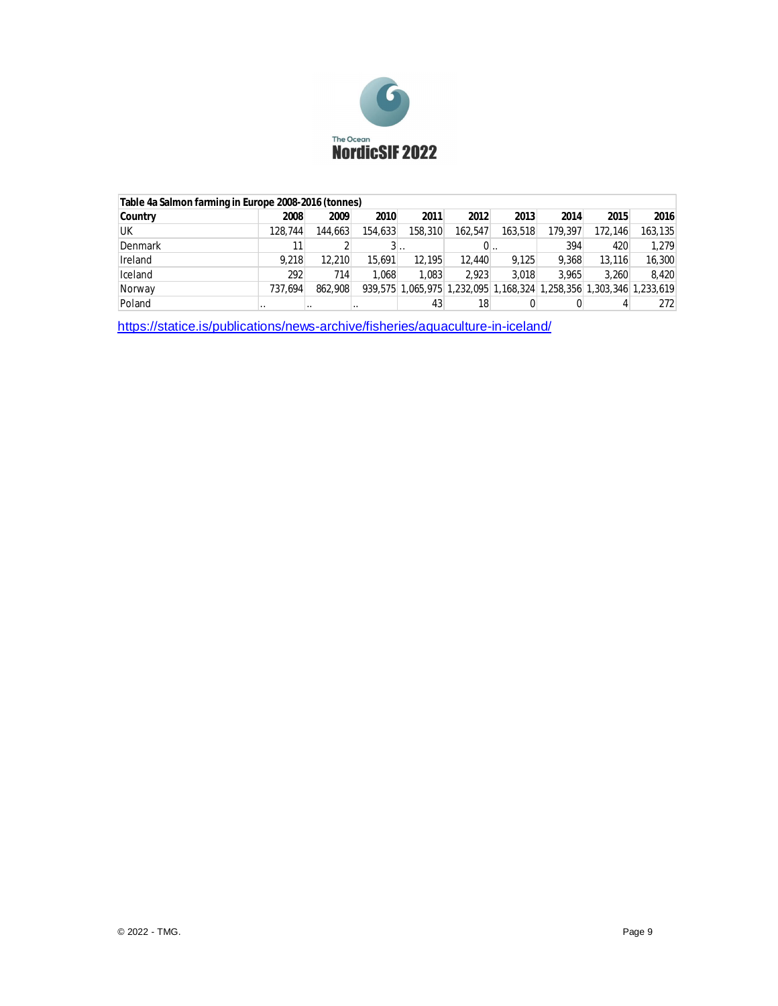

| Table 4a Salmon farming in Europe 2008-2016 (tonnes) |           |           |           |         |         |         |         |         |                                                                     |  |  |  |
|------------------------------------------------------|-----------|-----------|-----------|---------|---------|---------|---------|---------|---------------------------------------------------------------------|--|--|--|
| Country                                              | 2008      | 2009      | 2010      | 2011    | 2012    | 2013    | 2014    | 2015    | 2016                                                                |  |  |  |
| UK                                                   | 128.744   | 144.663   | 154,633   | 158,310 | 162.547 | 163,518 | 179.397 | 172.146 | 163,135                                                             |  |  |  |
| Denmark                                              | 11        |           |           |         | 0       |         | 394     | 420     | 1.279                                                               |  |  |  |
| Ireland                                              | 9.218     | 12.210    | 15.691    | 12.195  | 12,440  | 9.125   | 9.368   | 13.116  | 16,300                                                              |  |  |  |
| Iceland                                              | 292       | 714       | 1.068     | 1.083   | 2.923   | 3.018   | 3.965   | 3.260   | 8.420                                                               |  |  |  |
| Norway                                               | 737.694   | 862.908   |           |         |         |         |         |         | 939,575 1,065,975 1,232,095 1,168,324 1,258,356 1,303,346 1,233,619 |  |  |  |
| Poland                                               | $\cdot$ . | $\cdot$ . | $\cdot$ . | 43      | 18      | 0       |         | 4       | 272                                                                 |  |  |  |

https://statice.is/publications/news-archive/fisheries/aquaculture-in-iceland/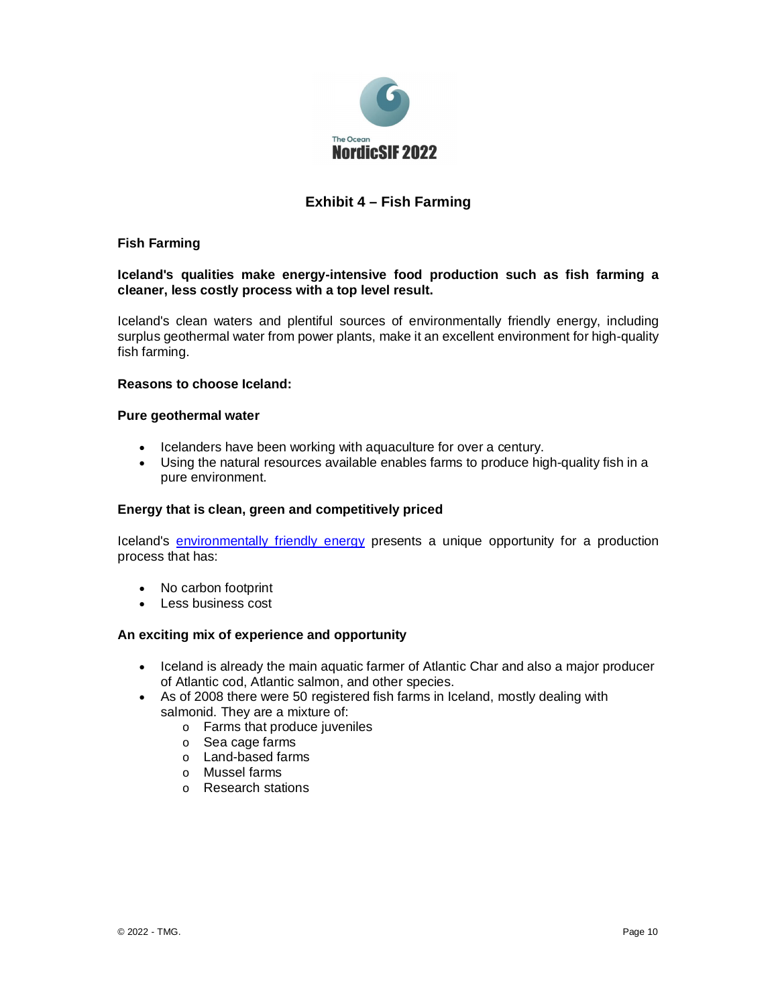

# **Exhibit 4 – Fish Farming**

### **Fish Farming**

### **Iceland's qualities make energy-intensive food production such as fish farming a cleaner, less costly process with a top level result.**

Iceland's clean waters and plentiful sources of environmentally friendly energy, including surplus geothermal water from power plants, make it an excellent environment for high-quality fish farming.

### **Reasons to choose Iceland:**

#### **Pure geothermal water**

- Icelanders have been working with aquaculture for over a century.
- Using the natural resources available enables farms to produce high-quality fish in a pure environment.

### **Energy that is clean, green and competitively priced**

Iceland's environmentally friendly energy presents a unique opportunity for a production process that has:

- No carbon footprint
- Less business cost

### **An exciting mix of experience and opportunity**

- Iceland is already the main aquatic farmer of Atlantic Char and also a major producer of Atlantic cod, Atlantic salmon, and other species.
- As of 2008 there were 50 registered fish farms in Iceland, mostly dealing with salmonid. They are a mixture of:
	- o Farms that produce juveniles
	- o Sea cage farms
	- o Land-based farms
	- o Mussel farms
	- o Research stations